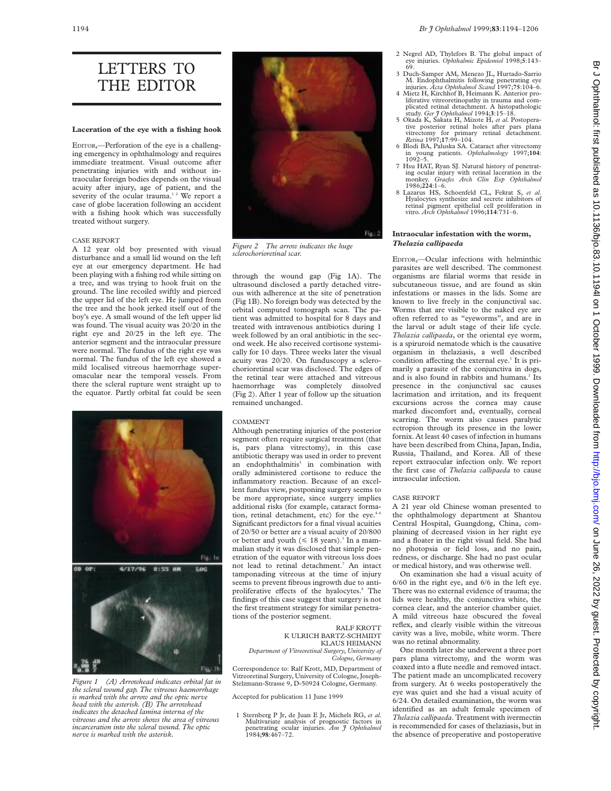LETTERS TO THE EDITOR

# **Laceration of the eye with a fishing hook**

EDITOR,—Perforation of the eye is a challenging emergency in ophthalmology and requires immediate treatment. Visual outcome after penetrating injuries with and without intraocular foreign bodies depends on the visual acuity after injury, age of patient, and the severity of the ocular trauma.<sup>12</sup> We report a case of globe laceration following an accident with a fishing hook which was successfully treated without surgery.

# CASE REPORT

A 12 year old boy presented with visual disturbance and a small lid wound on the left eye at our emergency department. He had been playing with a fishing rod while sitting on a tree, and was trying to hook fruit on the ground. The line recoiled swiftly and pierced the upper lid of the left eye. He jumped from the tree and the hook jerked itself out of the boy's eye. A small wound of the left upper lid was found. The visual acuity was 20/20 in the right eye and 20/25 in the left eye. The anterior segment and the intraocular pressure were normal. The fundus of the right eye was normal. The fundus of the left eye showed a mild localised vitreous haemorrhage superomacular near the temporal vessels. From there the scleral rupture went straight up to the equator. Partly orbital fat could be seen



*Figure 1 (A) Arrowhead indicates orbital fat in the scleral wound gap. The vitreous haemorrhage is marked with the arrow and the optic nerve head with the asterisk. (B) The arrowhead indicates the detached lamina interna of the vitreous and the arrow shows the area of vitreous incarceration into the scleral wound. The optic nerve is marked with the asterisk.*



*Figure 2 The arrow indicates the huge sclerochorioretinal scar.*

through the wound gap (Fig 1A). The ultrasound disclosed a partly detached vitreous with adherence at the site of penetration (Fig 1B). No foreign body was detected by the orbital computed tomograph scan. The patient was admitted to hospital for 8 days and treated with intravenous antibiotics during 1 week followed by an oral antibiotic in the second week. He also received cortisone systemically for 10 days. Three weeks later the visual acuity was 20/20. On funduscopy a sclerochorioretinal scar was disclosed. The edges of the retinal tear were attached and vitreous haemorrhage was completely dissolved (Fig 2). After 1 year of follow up the situation remained unchanged.

#### COMMENT

Although penetrating injuries of the posterior segment often require surgical treatment (that is, pars plana vitrectomy), in this case antibiotic therapy was used in order to prevent an endophthalmitis<sup>3</sup> in combination with orally administered cortisone to reduce the inflammatory reaction. Because of an excellent fundus view, postponing surgery seems to be more appropriate, since surgery implies additional risks (for example, cataract formation, retinal detachment, etc) for the eye.<sup>4-6</sup> Significant predictors for a final visual acuities of 20/50 or better are a visual acuity of 20/800 or better and youth  $(\leq 18 \text{ years})$ .<sup>1</sup> In a mammalian study it was disclosed that simple penetration of the equator with vitreous loss does not lead to retinal detachment.<sup>7</sup> An intact tamponading vitreous at the time of injury seems to prevent fibrous ingrowth due to antiproliferative effects of the hyalocytes.<sup>8</sup> The findings of this case suggest that surgery is not the first treatment strategy for similar penetrations of the posterior segment.

> RALF KROTT K ULRICH BARTZ-SCHMIDT

# KLAUS HEIMANN *Department of Vitreoretinal Surgery, University of*

*Cologne, Germany*

Correspondence to: Ralf Krott, MD, Department of Vitreoretinal Surgery, University of Cologne, Joseph-Stelzmann-Strasse 9, D-50924 Cologne, Germany.

Accepted for publication 11 June 1999

1 Sternberg P Jr, de Juan E Jr, Michels RG, *et al*. Multivariate analysis of prognostic factors in penetrating ocular injuries. *Am J Ophthalmol* 1984;**98**:467–72.

- 2 Negrel AD, Thylefors B. The global impact of eye injuries. *Ophthalmic Epidemiol* 1998;**5**:143– 69.
- 3 Duch-Samper AM, Menezo JL, Hurtado-Sarrio M. Endophthalmitis following penetrating eye injuries. *Acta Ophthalmol Scand* 1997;**75**:104–6.
- 4 Mietz H, Kirchhof B, Heimann K. Anterior proliferative vitreoretinopathy in trauma and complicated retinal detachment. A histopathologic study. *Ger J Ophthalmol* 1994;**3**:15–18.
- 5 Okada K, Sakata H, Mizote H, *et al.* Postoperative posterior retinal holes after pars plana vitrectomy for primary retinal detachment. *Retina* 1997;**17**:99–104. 6 Blodi BA, Paluska SA. Cataract after vitrectomy
- in young patients. *Ophthalmology* 1997;**104**: 1092–5.
- 7 Hsu HAT, Ryan SJ. Natural history of penetrating ocular injury with retinal laceration in the monkey. *Graefes Arch Clin Exp Ophthalmol* 1986;**224**:1–6.
- 8 Lazarus HS, Schoenfeld CL, Fekrat S, *et al*. Hyalocytes synthesize and secrete inhibitors of retinal pigment epithelial cell proliferation in vitro. *Arch Ophthalmol* 1996;**114**:731–6.

# **Intraocular infestation with the worm,** *Thelazia callipaeda*

EDITOR,—Ocular infections with helminthic parasites are well described. The commonest organisms are filarial worms that reside in subcutaneous tissue, and are found as skin infestations or masses in the lids. Some are known to live freely in the conjunctival sac. Worms that are visible to the naked eye are often referred to as "eyeworms", and are in the larval or adult stage of their life cycle. *Thelazia callipaeda*, or the oriental eye worm, is a spiruroid nematode which is the causative organism in thelaziasis, a well described condition affecting the external eye.<sup>1</sup> It is primarily a parasite of the conjunctiva in dogs, and is also found in rabbits and humans.<sup>2</sup> Its presence in the conjunctival sac causes lacrimation and irritation, and its frequent excursions across the cornea may cause marked discomfort and, eventually, corneal scarring. The worm also causes paralytic ectropion through its presence in the lower fornix. At least 40 cases of infection in humans have been described from China, Japan, India, Russia, Thailand, and Korea. All of these report extraocular infection only. We report the first case of *Thelazia callipaeda* to cause intraocular infection.

## CASE REPORT

A 21 year old Chinese woman presented to the ophthalmology department at Shantou Central Hospital, Guangdong, China, complaining of decreased vision in her right eye and a floater in the right visual field. She had no photopsia or field loss, and no pain, redness, or discharge. She had no past ocular or medical history, and was otherwise well.

On examination she had a visual acuity of 6/60 in the right eye, and 6/6 in the left eye. There was no external evidence of trauma; the lids were healthy, the conjunctiva white, the cornea clear, and the anterior chamber quiet. A mild vitreous haze obscured the foveal reflex, and clearly visible within the vitreous cavity was a live, mobile, white worm. There was no retinal abnormality.

One month later she underwent a three port pars plana vitrectomy, and the worm was coaxed into a flute needle and removed intact. The patient made an uncomplicated recovery from surgery. At 6 weeks postoperatively the eye was quiet and she had a visual acuity of 6/24. On detailed examination, the worm was identified as an adult female specimen of *Thelazia callipaeda*. Treatment with ivermectin is recommended for cases of thelaziasis, but in the absence of preoperative and postoperative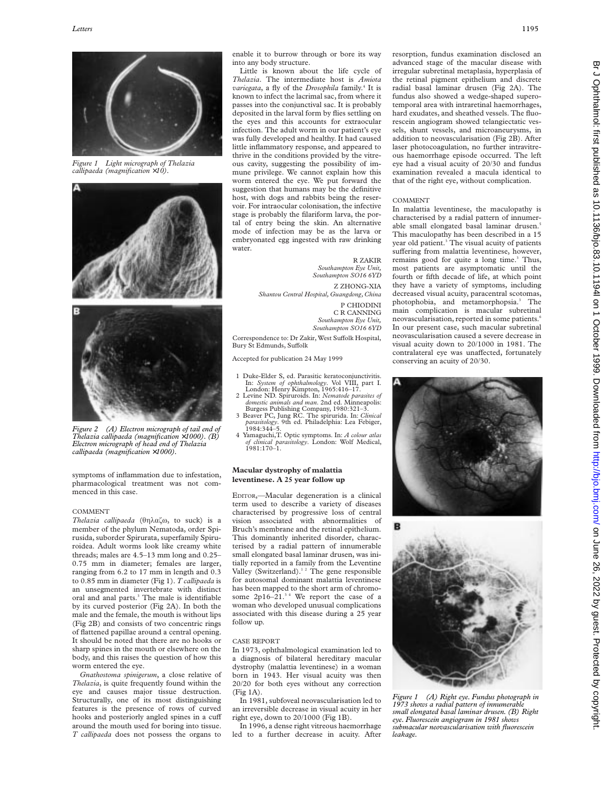

*Figure 1 Light micrograph of Thelazia callipaeda (magnification* ×*10).*



*Figure 2 (A) Electron micrograph of tail end of Thelazia callipaeda (magnification* ×*1000). (B) Electron micrograph of head end of Thelazia callipaeda (magnification* ×*1000).*

symptoms of inflammation due to infestation, pharmacological treatment was not commenced in this case.

#### COMMENT

*Thelazia callipaeda* (θηλαζω, to suck) is a member of the phylum Nematoda, order Spirusida, suborder Spirurata, superfamily Spiruroidea. Adult worms look like creamy white threads; males are 4.5–13 mm long and 0.25– 0.75 mm in diameter; females are larger, ranging from 6.2 to 17 mm in length and 0.3 to 0.85 mm in diameter (Fig 1). *T callipaeda* is an unsegmented invertebrate with distinct oral and anal parts.<sup>3</sup> The male is identifiable by its curved posterior (Fig 2A). In both the male and the female, the mouth is without lips (Fig 2B) and consists of two concentric rings of flattened papillae around a central opening. It should be noted that there are no hooks or sharp spines in the mouth or elsewhere on the body, and this raises the question of how this worm entered the eye.

*Gnathostoma spinigerum*, a close relative of *Thelazia*, is quite frequently found within the eye and causes major tissue destruction. Structurally, one of its most distinguishing features is the presence of rows of curved hooks and posteriorly angled spines in a cuff around the mouth used for boring into tissue. *T callipaeda* does not possess the organs to enable it to burrow through or bore its way into any body structure.

Little is known about the life cycle of *Thelazia*. The intermediate host is *Amiota variegata*, a fly of the *Drosophila* family.4 It is known to infect the lacrimal sac, from where it passes into the conjunctival sac. It is probably deposited in the larval form by flies settling on the eyes and this accounts for extraocular infection. The adult worm in our patient's eye was fully developed and healthy. It had caused little inflammatory response, and appeared to thrive in the conditions provided by the vitreous cavity, suggesting the possibility of immune privilege. We cannot explain how this worm entered the eye. We put forward the suggestion that humans may be the definitive host, with dogs and rabbits being the reservoir. For intraocular colonisation, the infective stage is probably the filariform larva, the portal of entry being the skin. An alternative mode of infection may be as the larva or embryonated egg ingested with raw drinking water.

#### R ZAKIR

*Southampton Eye Unit, Southampton SO16 6YD* Z ZHONG-XIA *Shantou Central Hospital, Guangdong, China*

> P CHIODINI C R CANNING *Southampton Eye Unit, Southampton SO16 6YD*

Correspondence to: Dr Zakir, West Suffolk Hospital, Bury St Edmunds, Suffolk

Accepted for publication 24 May 1999

- 1 Duke-Elder S, ed. Parasitic keratoconjunctivitis. In: *System of ophthalmology*. Vol VIII, part I.
- London: Henry Kimpton, 1965:416–17. 2 Levine ND. Spiruroids. In: *Nematode parasites of*
- domestic animals and man. 2nd ed. Minneapolis:<br>Burgess Publishing Company, 1980:321–3.<br>3 Beaver PC, Jung RC. The spirurida. In: *Clinical*<br>*parasitology*. 9th ed. Philadelphia: Lea Febiger,<br>1984:344–5.
- 4 Yamaguchi,T. Optic symptoms. In: *A colour atlas of clinical parasitology*. London: Wolf Medical, 1981:170–1.

# **Macular dystrophy of malattia leventinese. A 25 year follow up**

EDITOR,—Macular degeneration is a clinical term used to describe a variety of diseases characterised by progressive loss of central vision associated with abnormalities of Bruch's membrane and the retinal epithelium. This dominantly inherited disorder, characterised by a radial pattern of innumerable small elongated basal laminar drusen, was initially reported in a family from the Leventine Valley (Switzerland).<sup>12</sup> The gene responsible for autosomal dominant malattia leventinese has been mapped to the short arm of chromosome  $2p16-21$ .<sup>34</sup> We report the case of a woman who developed unusual complications associated with this disease during a 25 year follow up.

# CASE REPORT

In 1973, ophthalmological examination led to a diagnosis of bilateral hereditary macular dystrophy (malattia leventinese) in a woman born in 1943. Her visual acuity was then 20/20 for both eyes without any correction (Fig 1A).

In 1981, subfoveal neovascularisation led to an irreversible decrease in visual acuity in her right eye, down to 20/1000 (Fig 1B).

In 1996, a dense right vitreous haemorrhage led to a further decrease in acuity. After resorption, fundus examination disclosed an advanced stage of the macular disease with irregular subretinal metaplasia, hyperplasia of the retinal pigment epithelium and discrete radial basal laminar drusen (Fig 2A). The fundus also showed a wedge-shaped superotemporal area with intraretinal haemorrhages, hard exudates, and sheathed vessels. The fluorescein angiogram showed telangiectatic vessels, shunt vessels, and microaneurysms, in addition to neovascularisation (Fig 2B). After laser photocoagulation, no further intravitreous haemorrhage episode occurred. The left eye had a visual acuity of 20/30 and fundus examination revealed a macula identical to that of the right eye, without complication.

# COMMENT

In malattia leventinese, the maculopathy is characterised by a radial pattern of innumerable small elongated basal laminar drusen. This maculopathy has been described in a 15 year old patient.<sup>3</sup> The visual acuity of patients suffering from malattia leventinese, however, remains good for quite a long time.<sup>3</sup> Thus, most patients are asymptomatic until the fourth or fifth decade of life, at which point they have a variety of symptoms, including decreased visual acuity, paracentral scotomas, photophobia, and metamorphopsia.<sup>3</sup> The main complication is macular subretinal neovascularisation, reported in some patients.<sup>6</sup> In our present case, such macular subretinal neovascularisation caused a severe decrease in visual acuity down to 20/1000 in 1981. The contralateral eye was unaffected, fortunately conserving an acuity of 20/30.





*Figure 1 (A) Right eye. Fundus photograph in 1973 shows a radial pattern of innumerable small elongated basal laminar drusen. (B) Right eye. Fluorescein angiogram in 1981 shows submacular neovascularisation with fluorescein leakage.*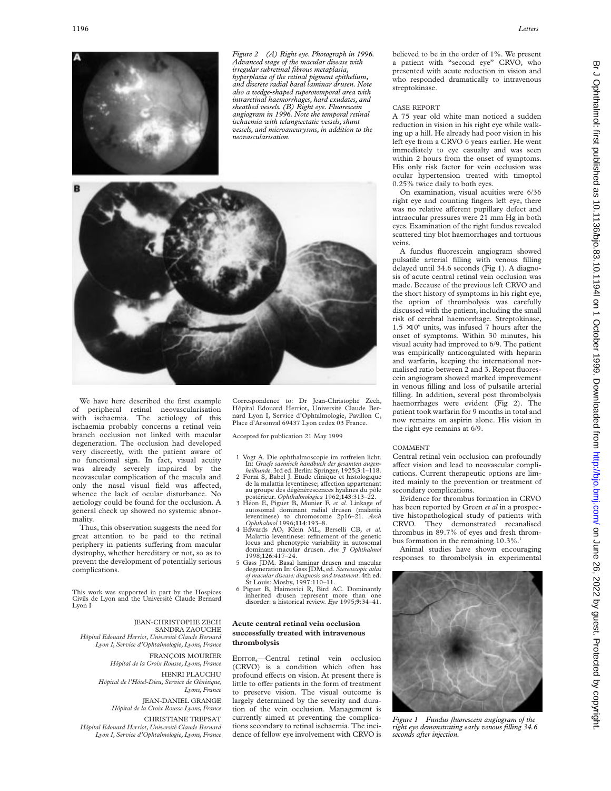

*Figure 2 (A) Right eye. Photograph in 1996. Advanced stage of the macular disease with irregular subretinal fibrous metaplasia, hyperplasia of the retinal pigment epithelium, and discrete radial basal laminar drusen. Note also a wedge-shaped superotemporal area with intraretinal haemorrhages, hard exudates, and sheathed vessels. (B) Right eye. Fluorescein angiogram in 1996. Note the temporal retinal ischaemia with telangiectatic vessels, shunt vessels, and microaneurysms, in addition to the neovascularisation.*



We have here described the first example of peripheral retinal neovascularisation with ischaemia. The aetiology of this ischaemia probably concerns a retinal vein branch occlusion not linked with macular degeneration. The occlusion had developed very discreetly, with the patient aware of no functional sign. In fact, visual acuity was already severely impaired by the neovascular complication of the macula and only the nasal visual field was affected, whence the lack of ocular disturbance. No aetiology could be found for the occlusion. A general check up showed no systemic abnormality.

Thus, this observation suggests the need for great attention to be paid to the retinal periphery in patients suffering from macular dystrophy, whether hereditary or not, so as to prevent the development of potentially serious complications.

This work was supported in part by the Hospices Civils de Lyon and the Université Claude Bernard Lyon I

# JEAN-CHRISTOPHE ZECH

SANDRA ZAOUCHE *Hôpital Edouard Herriot, Université Claude Bernard Lyon I, Service d'Ophtalmologie, Lyons, France*

> FRANÇOIS MOURIER *Hôpital de la Croix Rousse, Lyons, France*

HENRI PLAUCHU *Hôpital de l'Hôtel-Dieu, Service de Génétique, Lyons, France*

> JEAN-DANIEL GRANGE *Hôpital de la Croix Rousse Lyons, France*

CHRISTIANE TREPSAT *Hôpital Edouard Herriot, Université Claude Bernard Lyon I, Service d'Ophtalmologie, Lyons, France*

Correspondence to: Dr Jean-Christophe Zech, Hôpital Edouard Herriot, Université Claude Bernard Lyon I, Service d'Ophtalmologie, Pavillon C, Place d'Arsonval 69437 Lyon cedex 03 France.

Accepted for publication 21 May 1999

- 1 Vogt A. Die ophthalmoscopie im rotfreien licht. In: *Graefe saemisch handbuch der gesamten augen-*
- *heilkunde*. 3rd ed. Berlin: Springer, 1925;**3**:1–118. 2 Forni S, Babel J. Etude clinique et histologique de la malattia leventinese; affection appartenant<br>au groupe des dégénérescences hyalines du pôle postérieur. *Ophthalmologica* 1962;**143**:313–22.
- 3 Héon E, Piguet B, Munier F, *et al*. Linkage of autosomal dominant radial drusen (malattia leventinese) to chromosome 2p16–21. *Arch Ophthalmol* 1996;**114**:193–8.
- 4 Edwards AO, Klein ML, Berselli CB, *et al.* Malattia leventinese: refinement of the genetic locus and phenotypic variability in autosomal dominant macular drusen. *Am J Ophthalmol* 1998;**126**:417–24.
- 5 Gass JDM. Basal laminar drusen and macular degeneration In: Gass JDM, ed. *Stereoscopic atlas of macular disease: diagnosis and treatment*. 4th ed. St Louis: Mosby, 1997:110–11.
- 6 Piguet B, Haimovici R, Bird AC. Dominantly inherited drusen represent more than one disorder: a historical review. *Eye* 1995;**9**:34–41.

# **Acute central retinal vein occlusion successfully treated with intravenous thrombolysis**

EDITOR,—Central retinal vein occlusion (CRVO) is a condition which often has profound effects on vision. At present there is little to offer patients in the form of treatment to preserve vision. The visual outcome is largely determined by the severity and duration of the vein occlusion. Management is currently aimed at preventing the complications secondary to retinal ischaemia. The incidence of fellow eye involvement with CRVO is believed to be in the order of 1%. We present a patient with "second eye" CRVO, who presented with acute reduction in vision and who responded dramatically to intravenous streptokinase.

# CASE REPORT

A 75 year old white man noticed a sudden reduction in vision in his right eye while walking up a hill. He already had poor vision in his left eye from a CRVO 6 years earlier. He went immediately to eye casualty and was seen within 2 hours from the onset of symptoms. His only risk factor for vein occlusion was ocular hypertension treated with timoptol 0.25% twice daily to both eyes.

On examination, visual acuities were 6/36 right eye and counting fingers left eye, there was no relative afferent pupillary defect and intraocular pressures were 21 mm Hg in both eyes. Examination of the right fundus revealed scattered tiny blot haemorrhages and tortuous veins.

A fundus fluorescein angiogram showed pulsatile arterial filling with venous filling delayed until 34.6 seconds (Fig 1). A diagnosis of acute central retinal vein occlusion was made. Because of the previous left CRVO and the short history of symptoms in his right eye, the option of thrombolysis was carefully discussed with the patient, including the small risk of cerebral haemorrhage. Streptokinase,  $1.5 \times 10^6$  units, was infused 7 hours after the onset of symptoms. Within 30 minutes, his visual acuity had improved to 6/9. The patient was empirically anticoagulated with heparin and warfarin, keeping the international normalised ratio between 2 and 3. Repeat fluorescein angiogram showed marked improvement in venous filling and loss of pulsatile arterial filling. In addition, several post thrombolysis haemorrhages were evident (Fig 2). The patient took warfarin for 9 months in total and now remains on aspirin alone. His vision in the right eye remains at 6/9.

## COMMENT

Central retinal vein occlusion can profoundly affect vision and lead to neovascular complications. Current therapeutic options are limited mainly to the prevention or treatment of secondary complications.

Evidence for thrombus formation in CRVO has been reported by Green *et al* in a prospective histopathological study of patients with CRVO. They demonstrated recanalised thrombus in 89.7% of eyes and fresh thrombus formation in the remaining  $10.3\%$ .<sup>1</sup>

Animal studies have shown encouraging responses to thrombolysis in experimental



*Figure 1 Fundus fluorescein angiogram of the right eye demonstrating early venous filling 34.6 seconds after injection.*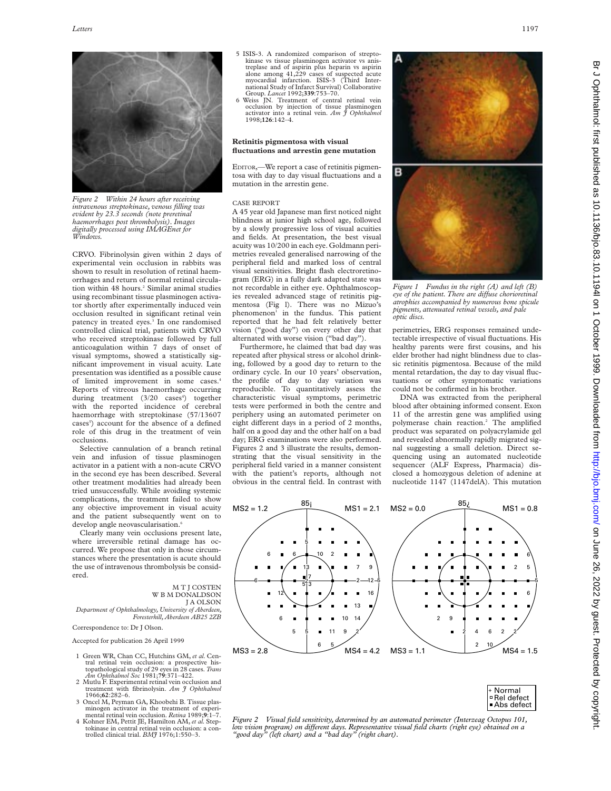

*Figure 2 Within 24 hours after receiving intravenous streptokinase, venous filling was evident by 23.3 seconds (note preretinal haemorrhages post thrombolysis). Images digitally processed using IMAGEnet for Windows.*

CRVO. Fibrinolysin given within 2 days of experimental vein occlusion in rabbits was shown to result in resolution of retinal haemorrhages and return of normal retinal circulation within 48 hours.<sup>2</sup> Similar animal studies using recombinant tissue plasminogen activator shortly after experimentally induced vein occlusion resulted in significant retinal vein patency in treated eyes.<sup>3</sup> In one randomised controlled clinical trial, patients with CRVO who received streptokinase followed by full anticoagulation within 7 days of onset of visual symptoms, showed a statistically significant improvement in visual acuity. Late presentation was identified as a possible cause of limited improvement in some cases.<sup>4</sup> Reports of vitreous haemorrhage occurring during treatment (3/20 cases<sup>4</sup>) together with the reported incidence of cerebral haemorrhage with streptokinase (57/13607 cases<sup>5</sup>) account for the absence of a defined role of this drug in the treatment of vein occlusions.

Selective cannulation of a branch retinal vein and infusion of tissue plasminogen activator in a patient with a non-acute CRVO in the second eye has been described. Several other treatment modalities had already been tried unsuccessfully. While avoiding systemic complications, the treatment failed to show any objective improvement in visual acuity and the patient subsequently went on to develop angle neovascularisation.<sup>6</sup>

Clearly many vein occlusions present late, where irreversible retinal damage has occurred. We propose that only in those circumstances where the presentation is acute should the use of intravenous thrombolysis be considered.

M T J COSTEN W B M DONALDSON J A OLSON *Department of Ophthalmology, University of Aberdeen,*

*Foresterhill, Aberdeen AB25 2ZB*

Correspondence to: Dr J Olson.

- Accepted for publication 26 April 1999
- 1 Green WR, Chan CC, Hutchins GM, *et al.* Cen-tral retinal vein occlusion: a prospective histopathological study of 29 eyes in 28 cases. *Trans Am Ophthalmol Soc* 1981;**79**:371–422.
- 2 Mutlu F. Experimental retinal vein occlusion and treatment with fibrinolysin. *Am J Ophthalmol* 1966;**62**:282–6.
- 3 Oncel M, Peyman GA, Khoobehi B. Tissue plasminogen activator in the treatment of experimental retinal vein occlusion. *Retina* 1989;**9**:1–7.
- 4 Kohner EM, Pettit JE, Hamilton AM, *et al.* Steptokinase in central retinal vein occlusion: a controlled clinical trial. *BMJ* 1976;1:550–3.
- 5 ISIS-3. A randomized comparison of streptokinase vs tissue plasminogen activator vs anistreplase and of aspirin plus heparin vs aspirin alone among 41,229 cases of suspected acute myocardial infarction. ISIS-3 (Third International Study of Infarct Survival) Collaborative
- Group. *Lancet* 1992;**339**:753–70.<br>6 Weiss JN. Treatment of central retinal vein<br>occlusion by injection of tissue plasminogen<br>activator into a retinal vein. *Am J Ophthalmol* 1998;**126**:142–4.

# **Retinitis pigmentosa with visual fluctuations and arrestin gene mutation**

EDITOR,—We report a case of retinitis pigmentosa with day to day visual fluctuations and a mutation in the arrestin gene.

# CASE REPORT

A 45 year old Japanese man first noticed night blindness at junior high school age, followed by a slowly progressive loss of visual acuities and fields. At presentation, the best visual acuity was 10/200 in each eye. Goldmann perimetries revealed generalised narrowing of the peripheral field and marked loss of central visual sensitivities. Bright flash electroretinogram (ERG) in a fully dark adapted state was not recordable in either eye. Ophthalmoscopies revealed advanced stage of retinitis pigmentosa (Fig l). There was no Mizuo's phenomenon<sup>1</sup> in the fundus. This patient reported that he had felt relatively better vision ("good day") on every other day that alternated with worse vision ("bad day").

Furthermore, he claimed that bad day was repeated after physical stress or alcohol drinking, followed by a good day to return to the ordinary cycle. In our 10 years' observation, the profile of day to day variation was reproducible. To quantitatively assess the characteristic visual symptoms, perimetric tests were performed in both the centre and periphery using an automated perimeter on eight different days in a period of 2 months, half on a good day and the other half on a bad day; ERG examinations were also performed. Figures 2 and 3 illustrate the results, demonstrating that the visual sensitivity in the peripheral field varied in a manner consistent with the patient's reports, although not obvious in the central field. In contrast with





*Figure 1 Fundus in the right (A) and left (B) eye of the patient. There are diVuse chorioretinal atrophies accompanied by numerous bone spicule pigments, attenuated retinal vessels, and pale optic discs.*

perimetries, ERG responses remained undetectable irrespective of visual fluctuations. His healthy parents were first cousins, and his elder brother had night blindness due to classic retinitis pigmentosa. Because of the mild mental retardation, the day to day visual fluctuations or other symptomatic variations could not be confirmed in his brother.

DNA was extracted from the peripheral blood after obtaining informed consent. Exon 11 of the arrestin gene was amplified using polymerase chain reaction.<sup>2</sup> The amplified product was separated on polyacrylamide gel and revealed abnormally rapidly migrated signal suggesting a small deletion. Direct sequencing using an automated nucleotide sequencer (ALF Express, Pharmacia) disclosed a homozygous deletion of adenine at nucleotide 1147 (1147delA). This mutation



| + Normal     |
|--------------|
| □ Rel defect |
| Abs defect   |

*Figure 2 Visual field sensitivity, determined by an automated perimeter (Interzeag Octopus 101, low vision program) on diVerent days. Representative visual field charts (right eye) obtained on a "good day" (left chart) and a "bad day" (right chart).*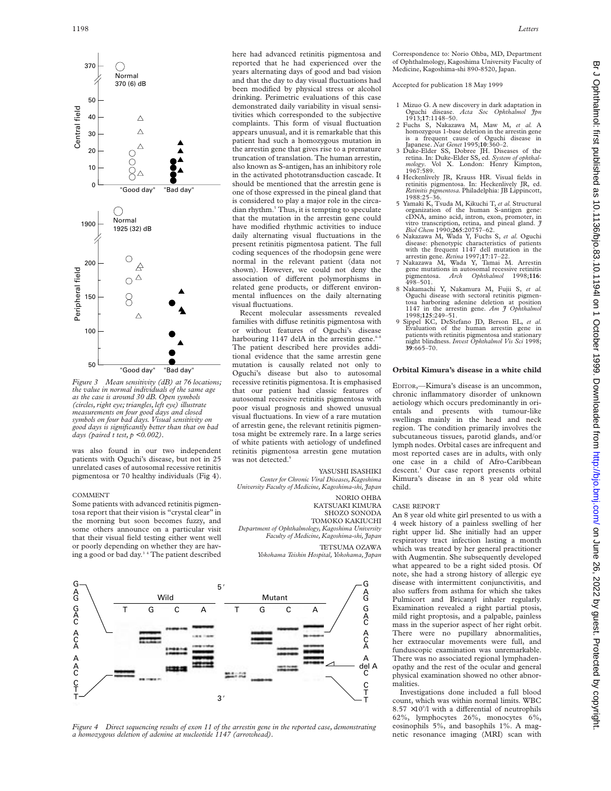

*Figure 3 Mean sensitivity (dB) at 76 locations; the value in normal individuals of the same age as the case is around 30 dB. Open symbols (circles, right eye; triangles, left eye) illustrate measurements on four good days and closed symbols on four bad days. Visual sensitivity on good days is significantly better than that on bad days (paired t test, p <0.002).* 

was also found in our two independent patients with Oguchi's disease, but not in 25 unrelated cases of autosomal recessive retinitis pigmentosa or 70 healthy individuals (Fig 4).

#### COMMENT

Some patients with advanced retinitis pigmentosa report that their vision is "crystal clear" in the morning but soon becomes fuzzy, and some others announce on a particular visit that their visual field testing either went well or poorly depending on whether they are having a good or bad day.3 4 The patient described here had advanced retinitis pigmentosa and reported that he had experienced over the years alternating days of good and bad vision and that the day to day visual fluctuations had been modified by physical stress or alcohol drinking. Perimetric evaluations of this case demonstrated daily variability in visual sensitivities which corresponded to the subjective complaints. This form of visual fluctuation appears unusual, and it is remarkable that this patient had such a homozygous mutation in the arrestin gene that gives rise to a premature truncation of translation. The human arrestin, also known as S-antigen, has an inhibitory role in the activated phototransduction cascade. It should be mentioned that the arrestin gene is one of those expressed in the pineal gland that is considered to play a major role in the circadian rhythm.<sup>5</sup> Thus, it is tempting to speculate that the mutation in the arrestin gene could have modified rhythmic activities to induce daily alternating visual fluctuations in the present retinitis pigmentosa patient. The full coding sequences of the rhodopsin gene were normal in the relevant patient (data not shown). However, we could not deny the association of different polymorphisms in related gene products, or different environmental influences on the daily alternating visual fluctuations.

Recent molecular assessments revealed families with diffuse retinitis pigmentosa with or without features of Oguchi's disease harbouring 1147 delA in the arrestin gene. $6-8$ The patient described here provides additional evidence that the same arrestin gene mutation is causally related not only to Oguchi's disease but also to autosomal recessive retinitis pigmentosa. It is emphasised that our patient had classic features of autosomal recessive retinitis pigmentosa with poor visual prognosis and showed unusual visual fluctuations. In view of a rare mutation of arrestin gene, the relevant retinitis pigmentosa might be extremely rare. In a large series of white patients with aetiology of undefined retinitis pigmentosa arrestin gene mutation was not detected.9

# YASUSHI ISASHIKI

*Center for Chronic Viral Diseases, Kagoshima University Faculty of Medicine, Kagoshima-shi, Japan* NORIO OHBA

KATSUAKI KIMURA SHOZO SONODA TOMOKO KAKIUCHI *Department of Ophthalmology, Kagoshima University Faculty of Medicine, Kagoshima-shi, Japan*

TETSUMA OZAWA

*Yokohama Teishin Hospital, Yokohama, Japan*



*Figure 4 Direct sequencing results of exon 11 of the arrestin gene in the reported case, demonstrating a homozygous deletion of adenine at nucleotide 1147 (arrowhead).*

Correspondence to: Norio Ohba, MD, Department of Ophthalmology, Kagoshima University Faculty of Medicine, Kagoshima-shi 890-8520, Japan.

Accepted for publication 18 May 1999

- 1 Mizuo G. A new discovery in dark adaptation in Oguchi disease. *Acta Soc Ophthalmol Jpn*
- 1913;**17**:1148–50. 2 Fuchs S, Nakazawa M, Maw M, *et al.* <sup>A</sup> homozygous 1-base deletion in the arrestin gene is a frequent cause of Oguchi disease in Japanese. *Nat Genet* 1995;**10**:360–2.
- 3 Duke-Elder SS, Dobree JH. Diseases of the retina. In: Duke-Elder SS, ed. *System of ophthal-mology*. Vol X. London: Henry Kimpton, 1967:589.
- 4 Heckenlively JR, Krauss HR. Visual fields in retinitis pigmentosa. In: Heckenlively JR, ed. *Retinitis pigmentosa.* Philadelphia: JB Lippincott, 1988:25–36.
- 5 Yamaki K, Tsuda M, Kikuchi T, *et al.* Structural organization of the human S-antigen gene: cDNA, amino acid, intron, exon, promoter, in vitro transcription, retina, and pineal gland. *J Biol Chem* 1990;**265**:20757–62.
- 6 Nakazawa M, Wada Y, Fuchs S, *et al.* Oguchi disease: phenotypic characteristics of patients with the frequent 1147 dell mutation in the arrestin gene. *Retina* 1997;**17**:17–22.
- 7 Nakazawa M, Wada Y, Tamai M. Arrestin gene mutations in autosomal recessive retinitis pigmentosa. *Arch Ophthalmol* 1998;**116**: erie matematica *Arch* Ophthalmol 1998;116:<br>498–501.<br>8 Nakamachi Y, Nakamura M, Fujii S, *et al.*
- Oguchi disease with sectoral retinitis pigmen-tosa harboring adenine deletion at position 1147 in the arrestin gene. *Am J Ophthalmol* 1998;**125**:249–51.
- 9 Sippel KC, DeStefano JD, Berson EL, *et al.* Evaluation of the human arrestin gene in patients with retinitis pigmentosa and stationary night blindness. *Invest Ophthalmol Vis Sci* 1998; **39**:665–70.

# **Orbital Kimura's disease in a white child**

EDITOR,—Kimura's disease is an uncommon, chronic inflammatory disorder of unknown aetiology which occurs predominantly in orientals and presents with tumour-like swellings mainly in the head and neck region. The condition primarily involves the subcutaneous tissues, parotid glands, and/or lymph nodes. Orbital cases are infrequent and most reported cases are in adults, with only one case in a child of Afro-Caribbean descent.<sup>1</sup> Our case report presents orbital Kimura's disease in an 8 year old white child.

#### CASE REPORT

An 8 year old white girl presented to us with a 4 week history of a painless swelling of her right upper lid. She initially had an upper respiratory tract infection lasting a month which was treated by her general practitioner with Augmentin. She subsequently developed what appeared to be a right sided ptosis. Of note, she had a strong history of allergic eye disease with intermittent conjunctivitis, and also suffers from asthma for which she takes Pulmicort and Bricanyl inhaler regularly. Examination revealed a right partial ptosis, mild right proptosis, and a palpable, painless mass in the superior aspect of her right orbit. There were no pupillary abnormalities, her extraocular movements were full, and funduscopic examination was unremarkable. There was no associated regional lymphadenopathy and the rest of the ocular and general physical examination showed no other abnormalities.

Investigations done included a full blood count, which was within normal limits. WBC  $8.57 \times 10^{9}$ /l with a differential of neutrophils 62%, lymphocytes 26%, monocytes 6%, eosinophils 5%, and basophils 1%. A magnetic resonance imaging (MRI) scan with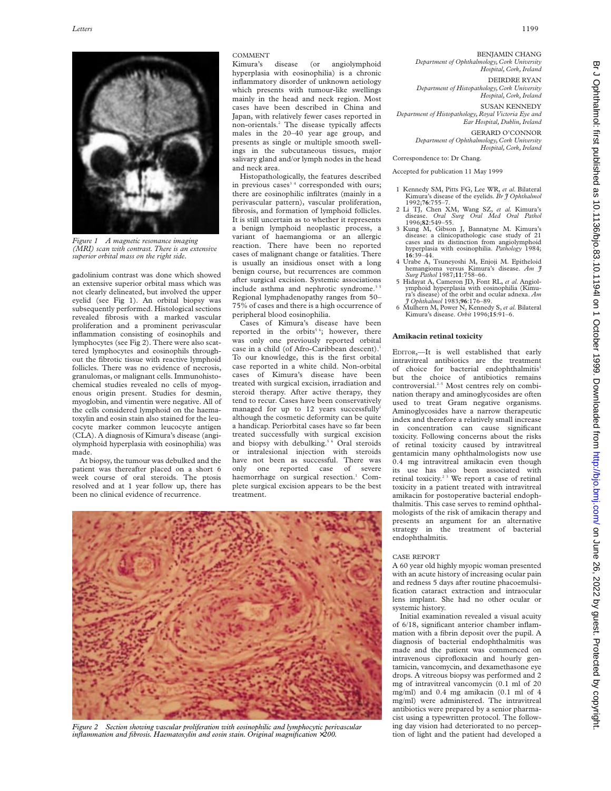

*Figure 1 A magnetic resonance imaging (MRI) scan with contrast. There is an extensive superior orbital mass on the right side.*

gadolinium contrast was done which showed an extensive superior orbital mass which was not clearly delineated, but involved the upper eyelid (see Fig 1). An orbital biopsy was subsequently performed. Histological sections revealed fibrosis with a marked vascular proliferation and a prominent perivascular inflammation consisting of eosinophils and lymphocytes (see Fig 2). There were also scattered lymphocytes and eosinophils throughout the fibrotic tissue with reactive lymphoid follicles. There was no evidence of necrosis, granulomas, or malignant cells. Immunohistochemical studies revealed no cells of myogenous origin present. Studies for desmin, myoglobin, and vimentin were negative. All of the cells considered lymphoid on the haematoxylin and eosin stain also stained for the leucocyte marker common leucocyte antigen (CLA). A diagnosis of Kimura's disease (angiolymphoid hyperplasia with eosinophilia) was made.

At biopsy, the tumour was debulked and the patient was thereafter placed on a short 6 week course of oral steroids. The ptosis resolved and at 1 year follow up, there has been no clinical evidence of recurrence.

# COMMENT<br>Kimura's

disease (or angiolymphoid hyperplasia with eosinophilia) is a chronic inflammatory disorder of unknown aetiology which presents with tumour-like swellings mainly in the head and neck region. Most cases have been described in China and Japan, with relatively fewer cases reported in non-orientals.<sup>2</sup> The disease typically affects males in the 20–40 year age group, and presents as single or multiple smooth swellings in the subcutaneous tissues, major salivary gland and/or lymph nodes in the head and neck area.

Histopathologically, the features described in previous cases<sup>34</sup> corresponded with ours; there are eosinophilic infiltrates (mainly in a perivascular pattern), vascular proliferation, fibrosis, and formation of lymphoid follicles. It is still uncertain as to whether it represents a benign lymphoid neoplastic process, a variant of haemangioma or an allergic reaction. There have been no reported cases of malignant change or fatalities. There is usually an insidious onset with a long benign course, but recurrences are common after surgical excision. Systemic associations include asthma and nephrotic syndrome.<sup>3</sup> Regional lymphadenopathy ranges from 50– 75% of cases and there is a high occurrence of peripheral blood eosinophilia.

Cases of Kimura's disease have been reported in the orbits<sup>56</sup>; however, there was only one previously reported orbital case in a child (of Afro-Caribbean descent).<sup>1</sup> To our knowledge, this is the first orbital case reported in a white child. Non-orbital cases of Kimura's disease have been treated with surgical excision, irradiation and steroid therapy. After active therapy, they tend to recur. Cases have been conservatively managed for up to 12 years successfully<sup>1</sup> although the cosmetic deformity can be quite a handicap. Periorbital cases have so far been treated successfully with surgical excision and biopsy with debulking.<sup>5 6</sup> Oral steroids or intralesional injection with steroids have not been as successful. There was only one reported case of severe haemorrhage on surgical resection.<sup>1</sup> Complete surgical excision appears to be the best treatment.



*Figure 2 Section showing vascular proliferation with eosinophilic and lymphocytic perivascular inflammation and fibrosis. Haematoxylin and eosin stain. Original magnification* ×*200.*

BENJAMIN CHANG *Department of Ophthalmology, Cork University Hospital, Cork, Ireland*

DEIRDRE RYAN *Department of Histopathology, Cork University Hospital, Cork, Ireland*

SUSAN KENNEDY *Department of Histopathology, Royal Victoria Eye and Ear Hospital, Dublin, Ireland*

GERARD O'CONNOR *Department of Ophthalmology, Cork University*

*Hospital, Cork, Ireland* Correspondence to: Dr Chang.

Accepted for publication 11 May 1999

- 1 Kennedy SM, Pitts FG, Lee WR, *et al.* Bilateral Kimura's disease of the eyelids. *Br J Ophthalmol* 1992;**76**:755–7. 2 Li TJ, Chen XM, Wang SZ, *et al.* Kimura's
- disease. *Oral Surg Oral Med Oral Pathol*
- Kung M, Gibson J, Bannatyne M. Kimura disease: a clinicopathologic case study of 21 cases and its distinction from angiolymphoid hyperplasia with eosinophilia. *Pathology* 1984; **16**:39–44.
- 4 Urabe A, Tsuneyoshi M, Enjoji M. Epitheloid hemangioma versus Kimura's disease. *Am J Surg Pathol* 1987;**11**:758–66.
- 5 Hidayat A, Cameron JD, Font RL, *et al.* Angiolymphoid hyperplasia with eosinophilia (Kimu-ra's disease) of the orbit and ocular adnexa. *Am J Ophthalmol* 1983;**96**:176–89.
- 6 Mulhern M, Power N, Kennedy S, *et al.*Bilateral Kimura's disease. *Orbit* 1996;**15**:91–6.

# **Amikacin retinal toxicity**

EDITOR,—It is well established that early intravitreal antibiotics are the treatment of choice for bacterial endophthalmitis1 but the choice of antibiotics remains controversial.<sup>2-5</sup> Most centres rely on combination therapy and aminoglycosides are often used to treat Gram negative organisms. Aminoglycosides have a narrow therapeutic index and therefore a relatively small increase in concentration can cause significant toxicity. Following concerns about the risks of retinal toxicity caused by intravitreal gentamicin many ophthalmologists now use 0.4 mg intravitreal amikacin even though its use has also been associated with retinal toxicity.2 3 We report a case of retinal toxicity in a patient treated with intravitreal amikacin for postoperative bacterial endophthalmitis. This case serves to remind ophthalmologists of the risk of amikacin therapy and presents an argument for an alternative strategy in the treatment of bacterial endophthalmitis.

### CASE REPORT

A 60 year old highly myopic woman presented with an acute history of increasing ocular pain and redness 5 days after routine phacoemulsification cataract extraction and intraocular lens implant. She had no other ocular or systemic history.

Initial examination revealed a visual acuity of 6/18, significant anterior chamber inflammation with a fibrin deposit over the pupil. A diagnosis of bacterial endophthalmitis was made and the patient was commenced on intravenous ciprofloxacin and hourly gentamicin, vancomycin, and dexamethasone eye drops. A vitreous biopsy was performed and 2 mg of intravitreal vancomycin (0.1 ml of 20 mg/ml) and 0.4 mg amikacin (0.1 ml of 4 mg/ml) were administered. The intravitreal antibiotics were prepared by a senior pharmacist using a typewritten protocol. The following day vision had deteriorated to no perception of light and the patient had developed a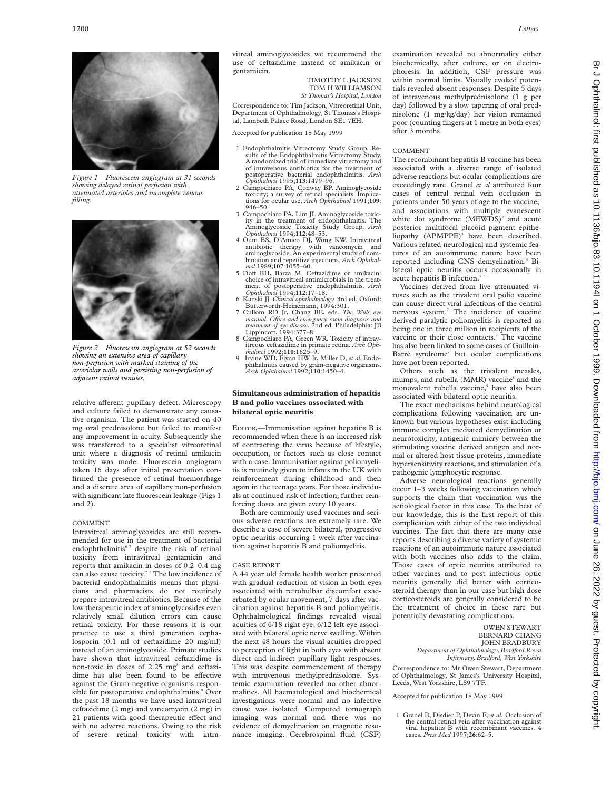

*Figure 1 Fluorescein angiogram at 31 seconds showing delayed retinal perfusion with attenuated arterioles and incomplete venous filling.*



*Figure 2 Fluorescein angiogram at 52 seconds showing an extensive area of capillary non-perfusion with marked staining of the arteriolar walls and persisting non-perfusion of adjacent retinal venules.*

relative afferent pupillary defect. Microscopy and culture failed to demonstrate any causative organism. The patient was started on 40 mg oral prednisolone but failed to manifest any improvement in acuity. Subsequently she was transferred to a specialist vitreoretinal unit where a diagnosis of retinal amikacin toxicity was made. Fluorescein angiogram taken 16 days after initial presentation confirmed the presence of retinal haemorrhage and a discrete area of capillary non-perfusion with significant late fluorescein leakage (Figs 1 and 2).

#### COMMENT

Intravitreal aminoglycosides are still recommended for use in the treatment of bacterial endophthalmitis<sup>67</sup> despite the risk of retinal toxicity from intravitreal gentamicin and reports that amikacin in doses of 0.2–0.4 mg can also cause toxicity.<sup>23</sup> The low incidence of bacterial endophthalmitis means that physicians and pharmacists do not routinely prepare intravitreal antibiotics. Because of the low therapeutic index of aminoglycosides even relatively small dilution errors can cause retinal toxicity. For these reasons it is our practice to use a third generation cephalosporin (0.1 ml of ceftazidime 20 mg/ml) instead of an aminoglycoside. Primate studies have shown that intravitreal ceftazidime is non-toxic in doses of 2.25 mg<sup>8</sup> and ceftazidime has also been found to be effective against the Gram negative organisms responsible for postoperative endophthalmitis.<sup>9</sup> Over the past 18 months we have used intravitreal ceftazidime (2 mg) and vancomycin (2 mg) in 21 patients with good therapeutic effect and with no adverse reactions. Owing to the risk of severe retinal toxicity with intravitreal aminoglycosides we recommend the use of ceftazidime instead of amikacin or gentamicin.

> TIMOTHY L JACKSON TOM H WILLIAMSON *St Thomas's Hospital, London*

Correspondence to: Tim Jackson, Vitreoretinal Unit, Department of Ophthalmology, St Thomas's Hospital, Lambeth Palace Road, London SE1 7EH.

Accepted for publication 18 May 1999

- 1 Endophthalmitis Vitrectomy Study Group. Results of the Endophthalmitis Vitrectomy Study. A randomized trial of immediate vitrectomy and of intravenous antibiotics for the treatment of postoperative bacterial endophthalmitis. *Arch Ophthalmol* 1995;**113**:1479–96.
- 2 Campochiaro PA, Conway BP. Aminoglycoside toxicity; a survey of retinal specialists. Implica-tions for ocular use. *Arch Ophthalmol* 1991;**109**: 946–50.
- 3 Campochiaro PA, Lim JI. Aminoglycoside toxic-ity in the treatment of endophthalmitis. The Aminoglycoside Toxicity Study Group*. Arch Ophthalmol* 1994;**112**:48–53.
- 4 Oum BS, D'Amico DJ, Wong KW. Intravitreal antibiotic therapy with vancomycin and aminoglycoside. An experimental study of combination and repetitive injections. *Arch Ophthal-mol* 1989;**107**:1055–60.
- 5 Doft BH, Barza M. Ceftazidime or amikacin: choice of intravitreal antimicrobials in the treatment of postoperative endophthalmitis. *Arch Ophthalmol* 1994;**112**:17–18.
- 6 Kanski JJ. *Clinical ophthalmology.* 3rd ed. Oxford: Butterworth-Heinemann, 1994:301.
- 7 Cullom RD Jr, Chang BE, eds. *The Wills eye manual. OYce and emergency room diagnosis and treatment of eye disease.* 2nd ed. Philadelphia: JB Lippincott, 1994:377–8.
- 8 Campochiaro PA, Green WR. Toxicity of intravitreous ceftazidime in primate retina. *Arch Oph-thalmol* 1992;**110**:1625–9.
- 9 Irvine WD, Flynn HW Jr, Miller D, *et al.* Endophthalmitis caused by gram-negative organisms. *Arch Ophthalmol* 1992;**110**:1450–4.

# **Simultaneous administration of hepatitis B and polio vaccines associated with bilateral optic neuritis**

EDITOR,—Immunisation against hepatitis B is recommended when there is an increased risk of contracting the virus because of lifestyle, occupation, or factors such as close contact with a case. Immunisation against poliomyelitis is routinely given to infants in the UK with reinforcement during childhood and then again in the teenage years. For those individuals at continued risk of infection, further reinforcing doses are given every 10 years.

Both are commonly used vaccines and serious adverse reactions are extremely rare. We describe a case of severe bilateral, progressive optic neuritis occurring 1 week after vaccination against hepatitis B and poliomyelitis.

#### CASE REPORT

A 44 year old female health worker presented with gradual reduction of vision in both eyes associated with retrobulbar discomfort exacerbated by ocular movement, 7 days after vaccination against hepatitis B and poliomyelitis. Ophthalmological findings revealed visual acuities of 6/18 right eye, 6/12 left eye associated with bilateral optic nerve swelling. Within the next 48 hours the visual acuities dropped to perception of light in both eyes with absent direct and indirect pupillary light responses. This was despite commencement of therapy with intravenous methylprednisolone. Systemic examination revealed no other abnormalities. All haematological and biochemical investigations were normal and no infective cause was isolated. Computed tomograph imaging was normal and there was no evidence of demyelination on magnetic resonance imaging. Cerebrospinal fluid (CSF)

examination revealed no abnormality either biochemically, after culture, or on electrophoresis. In addition, CSF pressure was within normal limits. Visually evoked potentials revealed absent responses. Despite 5 days of intravenous methylprednisolone (1 g per day) followed by a slow tapering of oral prednisolone (1 mg/kg/day) her vision remained poor (counting fingers at 1 metre in both eyes) after 3 months.

## COMMENT

The recombinant hepatitis B vaccine has been associated with a diverse range of isolated adverse reactions but ocular complications are exceedingly rare. Granel *et al* attributed four cases of central retinal vein occlusion in patients under 50 years of age to the vaccine,<sup>1</sup> and associations with multiple evanescent white dot syndrome  $(MEWDS)^2$  and acute posterior multifocal placoid pigment epitheliopathy  $(APMPPE)^3$  have been described. Various related neurological and systemic features of an autoimmune nature have been reported including CNS demyelination.<sup>4</sup> Bilateral optic neuritis occurs occasionally in acute hepatitis B infection.<sup>5</sup>

Vaccines derived from live attenuated viruses such as the trivalent oral polio vaccine can cause direct viral infections of the central nervous system.7 The incidence of vaccine derived paralytic poliomyelitis is reported as being one in three million in recipients of the vaccine or their close contacts.<sup>7</sup> The vaccine has also been linked to some cases of Guillain-Barré syndrome<sup>7</sup> but ocular complications have not been reported.

Others such as the trivalent measles, mumps, and rubella (MMR) vaccine<sup>8</sup> and the monovalent rubella vaccine,<sup>9</sup> have also been associated with bilateral optic neuritis.

The exact mechanisms behind neurological complications following vaccination are unknown but various hypotheses exist including immune complex mediated demyelination or neurotoxicity, antigenic mimicry between the stimulating vaccine derived antigen and normal or altered host tissue proteins, immediate hypersensitivity reactions, and stimulation of a pathogenic lymphocytic response.

Adverse neurological reactions generally occur 1–3 weeks following vaccination which supports the claim that vaccination was the aetiological factor in this case. To the best of our knowledge, this is the first report of this complication with either of the two individual vaccines. The fact that there are many case reports describing a diverse variety of systemic reactions of an autoimmune nature associated with both vaccines also adds to the claim. Those cases of optic neuritis attributed to other vaccines and to post infectious optic neuritis generally did better with corticosteroid therapy than in our case but high dose corticosteroids are generally considered to be the treatment of choice in these rare but potentially devastating complications.

> OWEN STEWART BERNARD CHANG JOHN BRADBURY *Department of Ophthalmology, Bradford Royal Infirmary, Bradford, West Yorkshire*

Correspondence to: Mr Owen Stewart, Department of Ophthalmology, St James's University Hospital, Leeds, West Yorkshire, LS9 7TF.

Accepted for publication 18 May 1999

<sup>1</sup> Granel B, Disdier P, Devin F, *et al.* Occlusion of the central retinal vein after vaccination against viral hepatitis B with recombinant vaccines. 4 cases. *Press Med* 1997;**26**:62–5.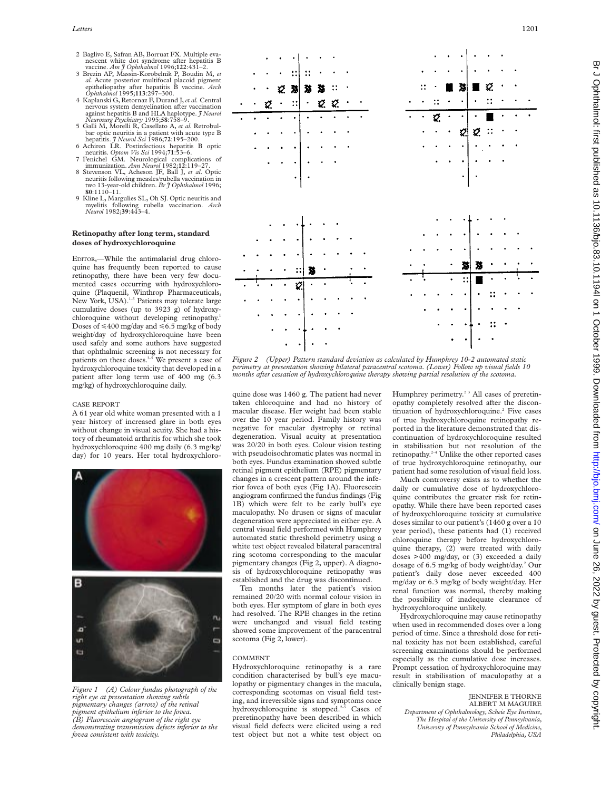- 2 Baglivo E, Safran AB, Borruat FX. Multiple evanescent white dot syndrome after hepatitis B vaccine.  $Am \, \tilde{\jmath}$  Ophthalmol 1996;122:431-2.
- vaccine. Am J Ophthalmol 1996;122:431-2.<br>3 Brezin AP, Massin-Korobelnik P, Boudin M, et<br>al. Acute posterior multifocal placoid pigment<br>epitheliopathy after hepatitis B vaccine. Arch<br>Ophthalmol 1995;113:297-300.
- 4 Kaplanski G, Retornaz F, Durand J,*et al.* Central nervous system demyelination after vaccination against hepatitis B and HLA haplotype. *J Neurol*
- *Neurosurg Psychiatry* 1995;**58**:758–9. 5 Galli M, Morelli R, Casellato A, *et al.* Retrobulbar optic neuritis in a patient with acute type B<br>hepatitis. *J Neurol Sci* 1986;72:195–200.<br>6 Achiron LR. Postinfectious hepatitis B optic
- neuritis. *Optom Vis Sci* 1994;**71**:53–6. 7 Fenichel GM. Neurological complications of
- immunization. *Ann Neurol* 1982;**12**:119–27. 8 Stevenson VL, Acheson JF, Ball J, *et al*. Optic neuritis following measles/rubella vaccination in two 13-year-old children. *Br J Ophthalmol* 1996; **80**:1110–11.
- 9 Kline L, Margulies SL, Oh SJ. Optic neuritis and myelitis following rubella vaccination. *Arch Neurol* 1982;**39**:443–4.

#### **Retinopathy after long term, standard doses of hydroxychloroquine**

EDITOR,—While the antimalarial drug chloroquine has frequently been reported to cause retinopathy, there have been very few documented cases occurring with hydroxychloroquine (Plaquenil, Winthrop Pharmaceuticals, New York, USA).<sup>1-5</sup> Patients may tolerate large cumulative doses (up to 3923 g) of hydroxychloroquine without developing retinopathy.<sup>1</sup> Doses of  $\leq 400$  mg/day and  $\leq 6.5$  mg/kg of body weight/day of hydroxychloroquine have been used safely and some authors have suggested that ophthalmic screening is not necessary for patients on these doses.<sup>3-5</sup> We present a case of hydroxychloroquine toxicity that developed in a patient after long term use of 400 mg (6.3 mg/kg) of hydroxychloroquine daily.

# CASE REPORT

A 61 year old white woman presented with a 1 year history of increased glare in both eyes without change in visual acuity. She had a history of rheumatoid arthritis for which she took hydroxychloroquine 400 mg daily (6.3 mg/kg/ day) for 10 years. Her total hydroxychloro-



*Figure 1 (A) Colour fundus photograph of the right eye at presentation showing subtle pigmentary changes (arrow) of the retinal pigment epithelium inferior to the fovea. (B) Fluorescein angiogram of the right eye demonstrating transmission defects inferior to the fovea consistent with toxicity.*



*Figure 2 (Upper) Pattern standard deviation as calculated by Humphrey 10-2 automated static perimetry at presentation showing bilateral paracentral scotoma. (Lower) Follow up visual fields 10 months after cessation of hydroxychloroquine therapy showing partial resolution of the scotoma.*

quine dose was 1460 g. The patient had never taken chloroquine and had no history of macular disease. Her weight had been stable over the 10 year period. Family history was negative for macular dystrophy or retinal degeneration. Visual acuity at presentation was 20/20 in both eyes. Colour vision testing with pseudoisochromatic plates was normal in both eyes. Fundus examination showed subtle retinal pigment epithelium (RPE) pigmentary changes in a crescent pattern around the inferior fovea of both eyes (Fig 1A). Fluorescein angiogram confirmed the fundus findings (Fig 1B) which were felt to be early bull's eye maculopathy. No drusen or signs of macular degeneration were appreciated in either eye. A central visual field performed with Humphrey automated static threshold perimetry using a white test object revealed bilateral paracentral ring scotoma corresponding to the macular pigmentary changes (Fig 2, upper). A diagnosis of hydroxychloroquine retinopathy was established and the drug was discontinued.

Ten months later the patient's vision remained 20/20 with normal colour vision in both eyes. Her symptom of glare in both eyes had resolved. The RPE changes in the retina were unchanged and visual field testing showed some improvement of the paracentral scotoma (Fig 2, lower).

## COMMENT

Hydroxychloroquine retinopathy is a rare condition characterised by bull's eye maculopathy or pigmentary changes in the macula, corresponding scotomas on visual field testing, and irreversible signs and symptoms once hydroxychloroquine is stopped.<sup>2-5</sup> Cases of preretinopathy have been described in which visual field defects were elicited using a red test object but not a white test object on

Humphrey perimetry.<sup>23</sup> All cases of preretinopathy completely resolved after the discontinuation of hydroxychloroquine.<sup>2</sup> Five cases of true hydroxychloroquine retinopathy reported in the literature demonstrated that discontinuation of hydroxychloroquine resulted in stabilisation but not resolution of the retinopathy.2–4 Unlike the other reported cases of true hydroxychloroquine retinopathy, our patient had some resolution of visual field loss.

Much controversy exists as to whether the daily or cumulative dose of hydroxychloroquine contributes the greater risk for retinopathy. While there have been reported cases of hydroxychloroquine toxicity at cumulative doses similar to our patient's (1460 g over a 10 year period), these patients had (1) received chloroquine therapy before hydroxychloroquine therapy, (2) were treated with daily doses >400 mg/day, or (3) exceeded a daily dosage of 6.5 mg/kg of body weight/day.2 Our patient's daily dose never exceeded 400 mg/day or 6.3 mg/kg of body weight/day. Her renal function was normal, thereby making the possibility of inadequate clearance of hydroxychloroquine unlikely.

Hydroxychloroquine may cause retinopathy when used in recommended doses over a long period of time. Since a threshold dose for retinal toxicity has not been established, careful screening examinations should be performed especially as the cumulative dose increases. Prompt cessation of hydroxychloroquine may result in stabilisation of maculopathy at a clinically benign stage.

# JENNIFER E THORNE ALBERT M MAGUIRE

*Department of Ophthalmology, Scheie Eye Institute, The Hospital of the University of Pennsylvania, University of Pennsylvania School of Medicine, Philadelphia, USA*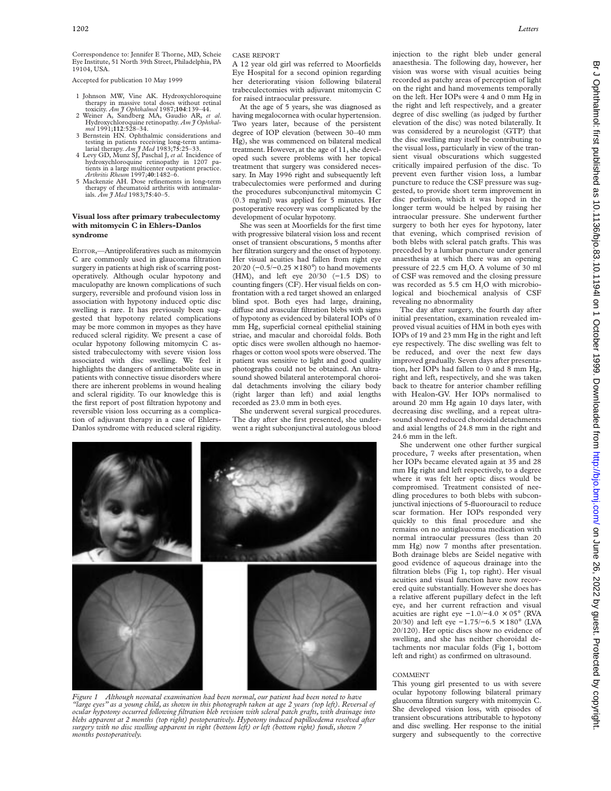Accepted for publication 10 May 1999

- 1 Johnson MW, Vine AK. Hydroxychloroquine therapy in massive total doses without retinal toxicity. *Am J Ophthalmol* 1987;**104**:139–44.
- <sup>2</sup> Weiner A, Sandberg MA, Gaudio AR, *et al.* Hydroxychloroquine retinopathy. *Am J* Ophthal*mol* 1991;**112**:528–34.
- 3 Bernstein HN. Ophthalmic considerations and testing in patients receiving long-term antima-larial therapy. *Am J Med* 1983;**75**:25–33.
- 4 Levy GD, Munz SJ, Paschal J, *et al.* Incidence of hydroxychloroquine retinopathy in 1207 patients in a large multicenter outpatient practice.
- *Arthritis Rheum* 1997;**40**:1482–6. 5 Mackenzie AH. Dose refinements in long-term therapy of rheumatoid arthritis with antimalarials. *Am J Med* 1983;**75**:40–5.

# **Visual loss after primary trabeculectomy with mitomycin C in Ehlers-Danlos syndrome**

EDITOR,—Antiproliferatives such as mitomycin C are commonly used in glaucoma filtration surgery in patients at high risk of scarring postoperatively. Although ocular hypotony and maculopathy are known complications of such surgery, reversible and profound vision loss in association with hypotony induced optic disc swelling is rare. It has previously been suggested that hypotony related complications may be more common in myopes as they have reduced scleral rigidity. We present a case of ocular hypotony following mitomycin C assisted trabeculectomy with severe vision loss associated with disc swelling. We feel it highlights the dangers of antimetabolite use in patients with connective tissue disorders where there are inherent problems in wound healing and scleral rigidity. To our knowledge this is the first report of post filtration hypotony and reversible vision loss occurring as a complication of adjuvant therapy in a case of Ehlers-Danlos syndrome with reduced scleral rigidity.

# CASE REPORT

A 12 year old girl was referred to Moorfields Eye Hospital for a second opinion regarding her deteriorating vision following bilateral trabeculectomies with adjuvant mitomycin C for raised intraocular pressure.

At the age of 5 years, she was diagnosed as having megalocornea with ocular hypertension. Two years later, because of the persistent degree of IOP elevation (between 30–40 mm Hg), she was commenced on bilateral medical treatment. However, at the age of 11, she developed such severe problems with her topical treatment that surgery was considered necessary. In May 1996 right and subsequently left trabeculectomies were performed and during the procedures subconjunctival mitomycin C (0.3 mg/ml) was applied for 5 minutes. Her postoperative recovery was complicated by the development of ocular hypotony.

She was seen at Moorfields for the first time with progressive bilateral vision loss and recent onset of transient obscurations, 5 months after her filtration surgery and the onset of hypotony. Her visual acuities had fallen from right eye 20/20 (−0.5/−0.25 × 180°) to hand movements (HM), and left eye 20/30 (−1.5 DS) to counting fingers (CF). Her visual fields on confrontation with a red target showed an enlarged blind spot. Both eyes had large, draining, diffuse and avascular filtration blebs with signs of hypotony as evidenced by bilateral IOPs of 0 mm Hg, superficial corneal epithelial staining striae, and macular and choroidal folds. Both optic discs were swollen although no haemorrhages or cotton wool spots were observed. The patient was sensitive to light and good quality photographs could not be obtained. An ultrasound showed bilateral anterotemporal choroidal detachments involving the ciliary body (right larger than left) and axial lengths recorded as 23.0 mm in both eyes.

She underwent several surgical procedures. The day after she first presented, she underwent a right subconjunctival autologous blood



*Figure 1 Although neonatal examination had been normal, our patient had been noted to have "large eyes" as a young child, as shown in this photograph taken at age 2 years (top left). Reversal of ocular hypotony occurred following filtration bleb revision with scleral patch grafts, with drainage into blebs apparent at 2 months (top right) postoperatively. Hypotony induced papilloedema resolved after surgery with no disc swelling apparent in right (bottom left) or left (bottom right) fundi, shown 7 months postoperatively.*

injection to the right bleb under general anaesthesia. The following day, however, her vision was worse with visual acuities being recorded as patchy areas of perception of light on the right and hand movements temporally on the left. Her IOPs were 4 and 0 mm Hg in the right and left respectively, and a greater degree of disc swelling (as judged by further elevation of the disc) was noted bilaterally. It was considered by a neurologist (GTP) that the disc swelling may itself be contributing to the visual loss, particularly in view of the transient visual obscurations which suggested critically impaired perfusion of the disc. To prevent even further vision loss, a lumbar puncture to reduce the CSF pressure was suggested, to provide short term improvement in disc perfusion, which it was hoped in the longer term would be helped by raising her intraocular pressure. She underwent further surgery to both her eyes for hypotony, later that evening, which comprised revision of both blebs with scleral patch grafts. This was preceded by a lumbar puncture under general anaesthesia at which there was an opening pressure of 22.5 cm H<sub>2</sub>O. A volume of 30 ml of CSF was removed and the closing pressure was recorded as  $5.5$  cm  $H<sub>2</sub>O$  with microbiological and biochemical analysis of CSF revealing no abnormality

The day after surgery, the fourth day after initial presentation, examination revealed improved visual acuities of HM in both eyes with IOPs of 19 and 23 mm Hg in the right and left eye respectively. The disc swelling was felt to be reduced, and over the next few days improved gradually. Seven days after presentation, her IOPs had fallen to 0 and 8 mm Hg, right and left, respectively, and she was taken back to theatre for anterior chamber refilling with Healon-GV. Her IOPs normalised to around 20 mm Hg again 10 days later, with decreasing disc swelling, and a repeat ultrasound showed reduced choroidal detachments and axial lengths of 24.8 mm in the right and 24.6 mm in the left.

She underwent one other further surgical procedure, 7 weeks after presentation, when her IOPs became elevated again at 35 and 28 mm Hg right and left respectively, to a degree where it was felt her optic discs would be compromised. Treatment consisted of needling procedures to both blebs with subconjunctival injections of 5-fluorouracil to reduce scar formation. Her IOPs responded very quickly to this final procedure and she remains on no antiglaucoma medication with normal intraocular pressures (less than 20 mm Hg) now 7 months after presentation. Both drainage blebs are Seidel negative with good evidence of aqueous drainage into the filtration blebs (Fig 1, top right). Her visual acuities and visual function have now recovered quite substantially. However she does has a relative afferent pupillary defect in the left eye, and her current refraction and visual acuities are right eye  $-1.0/-4.0 \times 05°$  (RVA 20/30) and left eye −1.75/−6.5 × 180° (LVA 20/120). Her optic discs show no evidence of swelling, and she has neither choroidal detachments nor macular folds (Fig 1, bottom left and right) as confirmed on ultrasound.

# COMMENT

This young girl presented to us with severe ocular hypotony following bilateral primary glaucoma filtration surgery with mitomycin C. She developed vision loss, with episodes of transient obscurations attributable to hypotony and disc swelling. Her response to the initial surgery and subsequently to the corrective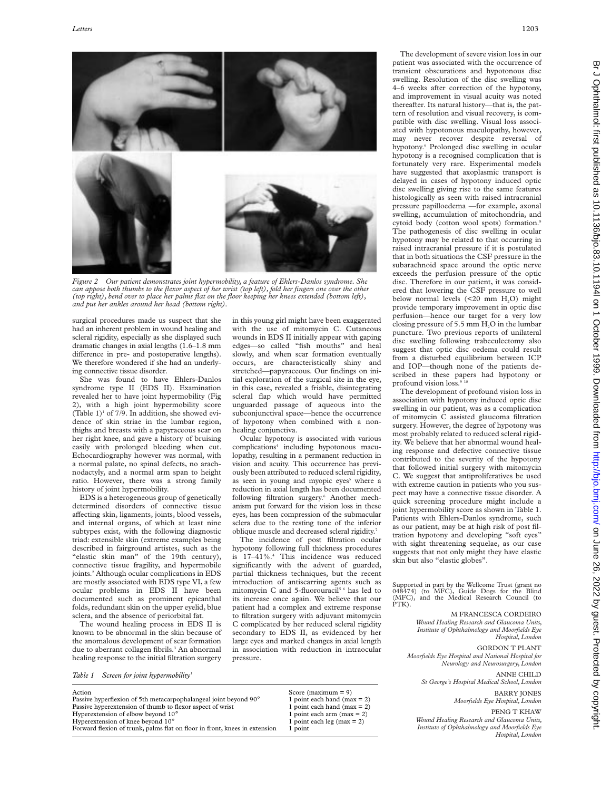

*Figure 2 Our patient demonstrates joint hypermobility, a feature of Ehlers-Danlos syndrome. She can appose both thumbs to the flexor aspect of her wrist (top left), fold her fingers one over the other (top right), bend over to place her palms flat on the floor keeping her knees extended (bottom left), and put her ankles around her head (bottom right).*

surgical procedures made us suspect that she had an inherent problem in wound healing and scleral rigidity, especially as she displayed such dramatic changes in axial lengths (1.6–1.8 mm difference in pre- and postoperative lengths). We therefore wondered if she had an underlying connective tissue disorder.

She was found to have Ehlers-Danlos syndrome type II (EDS II). Examination revealed her to have joint hypermobility (Fig 2), with a high joint hypermobility score (Table 1)<sup>1</sup> of 7/9. In addition, she showed evidence of skin striae in the lumbar region, thighs and breasts with a papyraceous scar on her right knee, and gave a history of bruising easily with prolonged bleeding when cut. Echocardiography however was normal, with a normal palate, no spinal defects, no arachnodactyly, and a normal arm span to height ratio. However, there was a strong family history of joint hypermobility.

EDS is a heterogeneous group of genetically determined disorders of connective tissue affecting skin, ligaments, joints, blood vessels, and internal organs, of which at least nine subtypes exist, with the following diagnostic triad: extensible skin (extreme examples being described in fairground artistes, such as the "elastic skin man" of the 19th century), connective tissue fragility, and hypermobile joints.<sup>2</sup> Although ocular complications in EDS are mostly associated with EDS type VI, a few ocular problems in EDS II have been documented such as prominent epicanthal folds, redundant skin on the upper eyelid, blue sclera, and the absence of periorbital fat.

The wound healing process in EDS II is known to be abnormal in the skin because of the anomalous development of scar formation due to aberrant collagen fibrils.<sup>3</sup> An abnormal healing response to the initial filtration surgery

*Table 1* Screen for joint hypermobility

Action Score (maximum = 9)<br>Passive hyperflexion of 5th metacarpophalangeal ioint bevond  $90^{\circ}$  1 point each hand (max = 2) Passive hyperflexion of 5th metacarpophalangeal joint beyond 90° 1 point each hand (max = 2)<br>Passive hyperextension of thumb to flexor aspect of wrist 1 point each hand (max = 2) Passive hyperextension of thumb to flexor aspect of wrist 1 point each hand (max = 2)<br>Hyperextension of elbow beyond  $10^{\circ}$  1 point each arm (max = 2) Hyperextension of elbow beyond  $10^{\circ}$  1 point each arm (max = 2)<br>
Hyperextension of knee beyond  $10^{\circ}$  1 point each leg (max = 2) Hyperextension of knee beyond  $10^{\circ}$ Forward flexion of trunk, palms flat on floor in front, knees in extension 1 point

in this young girl might have been exaggerated with the use of mitomycin C. Cutaneous wounds in EDS II initially appear with gaping edges—so called "fish mouths" and heal slowly, and when scar formation eventually occurs, are characteristically shiny and stretched—papyraceous. Our findings on initial exploration of the surgical site in the eye, in this case, revealed a friable, disintegrating scleral flap which would have permitted unguarded passage of aqueous into the subconjunctival space—hence the occurrence of hypotony when combined with a nonhealing conjunctiva.

Ocular hypotony is associated with various complications<sup>4</sup> including hypotonous maculopathy, resulting in a permanent reduction in vision and acuity. This occurrence has previously been attributed to reduced scleral rigidity, as seen in young and myopic eyes<sup>5</sup> where a reduction in axial length has been documented following filtration surgery.<sup>6</sup> Another mechanism put forward for the vision loss in these eyes, has been compression of the submacular sclera due to the resting tone of the inferior oblique muscle and decreased scleral rigidity.<sup>7</sup>

The incidence of post filtration ocular hypotony following full thickness procedures is  $17-41\%$ <sup>4</sup> This incidence was reduced significantly with the advent of guarded, partial thickness techniques, but the recent introduction of antiscarring agents such as mitomycin C and 5-fluorouracil<sup>56</sup> has led to its increase once again. We believe that our patient had a complex and extreme response to filtration surgery with adjuvant mitomycin C complicated by her reduced scleral rigidity secondary to EDS II, as evidenced by her large eyes and marked changes in axial length in association with reduction in intraocular pressure.

The development of severe vision loss in our patient was associated with the occurrence of transient obscurations and hypotonous disc swelling. Resolution of the disc swelling was 4–6 weeks after correction of the hypotony, and improvement in visual acuity was noted thereafter. Its natural history—that is, the pattern of resolution and visual recovery, is compatible with disc swelling. Visual loss associated with hypotonous maculopathy, however, may never recover despite reversal of hypotony.<sup>6</sup> Prolonged disc swelling in ocular hypotony is a recognised complication that is fortunately very rare. Experimental models have suggested that axoplasmic transport is delayed in cases of hypotony induced optic disc swelling giving rise to the same features histologically as seen with raised intracranial pressure papilloedema —for example, axonal swelling, accumulation of mitochondria, and cytoid body (cotton wool spots) formation.<sup>8</sup> The pathogenesis of disc swelling in ocular hypotony may be related to that occurring in raised intracranial pressure if it is postulated that in both situations the CSF pressure in the subarachnoid space around the optic nerve exceeds the perfusion pressure of the optic disc. Therefore in our patient, it was considered that lowering the CSF pressure to well below normal levels  $(\leq 20 \text{ mm H}_{2}O)$  might provide temporary improvement in optic disc perfusion—hence our target for a very low closing pressure of 5.5 mm  $H<sub>2</sub>O$  in the lumbar puncture. Two previous reports of unilateral disc swelling following trabeculectomy also suggest that optic disc oedema could result from a disturbed equilibrium between ICP and IOP—though none of the patients described in these papers had hypotony or profound vision loss.<sup>9</sup>

The development of profound vision loss in association with hypotony induced optic disc swelling in our patient, was as a complication of mitomycin C assisted glaucoma filtration surgery. However, the degree of hypotony was most probably related to reduced scleral rigidity. We believe that her abnormal wound healing response and defective connective tissue contributed to the severity of the hypotony that followed initial surgery with mitomycin C. We suggest that antiproliferatives be used with extreme caution in patients who you suspect may have a connective tissue disorder. A quick screening procedure might include a joint hypermobility score as shown in Table 1. Patients with Ehlers-Danlos syndrome, such as our patient, may be at high risk of post filtration hypotony and developing "soft eyes" with sight threatening sequelae, as our case suggests that not only might they have elastic skin but also "elastic globes".

Supported in part by the Wellcome Trust (grant no 048474) (to MFC), Guide Dogs for the Blind (MFC), and the Medical Research Council (to PTK).

> M FRANCESCA CORDEIRO *Wound Healing Research and Glaucoma Units, Institute of Ophthalmology and Moorfields Eye Hospital, London*

GORDON T PLANT *Moorfields Eye Hospital and National Hospital for*

*Neurology and Neurosurgery, London* ANNE CHILD

*St George's Hospital Medical School, London* BARRY JONES

*Moorfields Eye Hospital, London*

PENG T KHAW

*Wound Healing Research and Glaucoma Units, Institute of Ophthalmology and Moorfields Eye Hospital, London*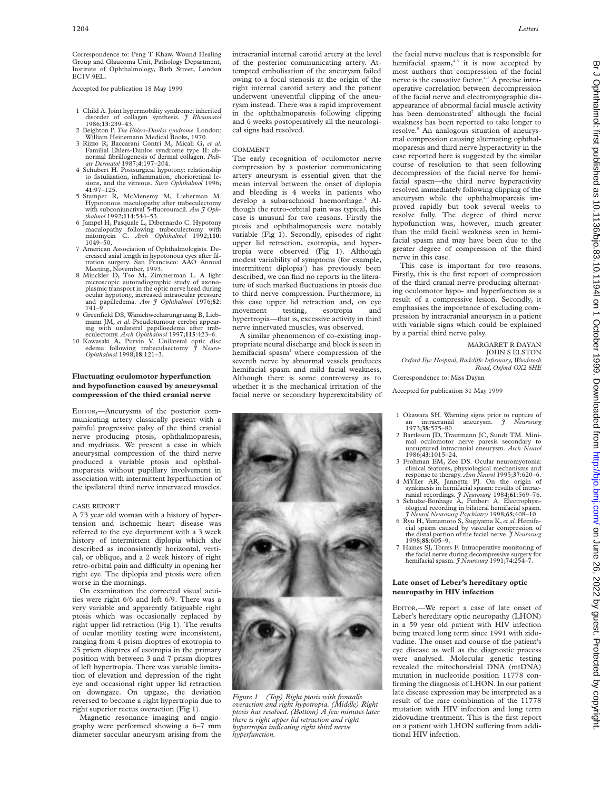Correspondence to: Peng T Khaw, Wound Healing Group and Glaucoma Unit, Pathology Department, Institute of Ophthalmology, Bath Street, London EC1V 9EL.

Accepted for publication 18 May 1999

- 1 Child A. Joint hypermobility syndrome: inherited disorder of collagen synthesis. *J Rheumatol* 1986;**13**:239–43.
- 2 Beighton P. *The Ehlers-Danlos syndrome*. London: William Heinemann Medical Books, 1970.
- 3 Rizzo R, Baccarani Contri M, Micali G, *et al.* Familial Ehlers-Danlos syndrome type II: ab-normal fibrillogenesis of dermal collagen. *Pediatr Dermatol* 1987;**4**:197–204.
- 4 Schubert H. Postsurgical hypotony: relationship to fistulization, inflammation, chorioretinal lesions, and the vitreous. *Surv Ophthalmol* 1996; **41**:97–125.
- 5 Stamper R, McMenemy M, Lieberman M. Hypotonous maculopathy after trabeculectomy with subconjunctival 5-fluorouracil. *Am J Ophthalmol* 1992;**114**:544–53.
- 6 Jampel H, Pasquale L, Dibernardo C. Hypotony maculopathy following trabeculectomy with mitomycin C. *Arch Ophthalmol* 1992;**110**: 1049–50.
- 7 American Association of Ophthalmologists. De-creased axial length in hypotonous eyes after filtration surgery. San Francisco: AAO Annual Meeting, November, 1993.
- 8 Minckler D, Tso M, Zimmerman L. A light microscopic autoradiographic study of axonoplasmic transport in the optic nerve head during ocular hypotony, increased intraocular pressure and papilledema. *Am J Ophthalmol* 1976;**82**: 741–9.
- 9 Greenfield DS, Wanichwecharungruang B, Lieb-mann JM, *et al.* Pseudotumour cerebri appearing with unilateral papilloedema after trab-eculectomy. *Arch Ophthalmol* 1997;**115**:423–6.
- 10 Kawasaki A, Purvin V. Unilateral optic disc edema following trabeculaectomy *J Neuro-Ophthalmol* 1998;**18**:121–3.

# **Fluctuating oculomotor hyperfunction and hypofunction caused by aneurysmal compression of the third cranial nerve**

EDITOR,—Aneurysms of the posterior communicating artery classically present with a painful progressive palsy of the third cranial nerve producing ptosis, ophthalmoparesis, and mydriasis. We present a case in which aneurysmal compression of the third nerve produced a variable ptosis and ophthalmoparesis without pupillary involvement in association with intermittent hyperfunction of the ipsilateral third nerve innervated muscles.

# CASE REPORT

A 73 year old woman with a history of hypertension and ischaemic heart disease was referred to the eye department with a 3 week history of intermittent diplopia which she described as inconsistently horizontal, vertical, or oblique, and a 2 week history of right retro-orbital pain and difficulty in opening her right eye. The diplopia and ptosis were often worse in the mornings.

On examination the corrected visual acuities were right 6/6 and left 6/9. There was a very variable and apparently fatiguable right ptosis which was occasionally replaced by right upper lid retraction (Fig 1). The results of ocular motility testing were inconsistent, ranging from 4 prism dioptres of exotropia to 25 prism dioptres of esotropia in the primary position with between 3 and 7 prism dioptres of left hypertropia. There was variable limitation of elevation and depression of the right eye and occasional right upper lid retraction on downgaze. On upgaze, the deviation reversed to become a right hypertropia due to right superior rectus overaction (Fig 1).

Magnetic resonance imaging and angiography were performed showing a 6–7 mm diameter saccular aneurysm arising from the

intracranial internal carotid artery at the level of the posterior communicating artery. Attempted embolisation of the aneurysm failed owing to a focal stenosis at the origin of the right internal carotid artery and the patient underwent uneventful clipping of the aneurysm instead. There was a rapid improvement in the ophthalmoparesis following clipping and 6 weeks postoperatively all the neurological signs had resolved.

#### COMMENT

The early recognition of oculomotor nerve compression by a posterior communicating artery aneurysm is essential given that the mean interval between the onset of diplopia and bleeding is 4 weeks in patients who develop a subarachnoid haemorrhage.<sup>1</sup> Although the retro-orbital pain was typical, this case is unusual for two reasons. Firstly the ptosis and ophthalmoparesis were notably variable (Fig 1). Secondly, episodes of right upper lid retraction, esotropia, and hypertropia were observed (Fig 1). Although modest variability of symptoms (for example, intermittent diplopia<sup>2</sup>) has previously been described, we can find no reports in the literature of such marked fluctuations in ptosis due to third nerve compression. Furthermore, in this case upper lid retraction and, on eye movement testing, esotropia and hypertropia—that is, excessive activity in third nerve innervated muscles, was observed.

A similar phenomenon of co-existing inappropriate neural discharge and block is seen in hemifacial spasm<sup>3</sup> where compression of the seventh nerve by abnormal vessels produces hemifacial spasm and mild facial weakness. Although there is some controversy as to whether it is the mechanical irritation of the facial nerve or secondary hyperexcitability of



*Figure 1 (Top) Right ptosis with frontalis overaction and right hypotropia. (Middle) Right ptosis has resolved. (Bottom) A few minutes later there is right upper lid retraction and right hypertropia indicating right third nerve hyperfunction.*

the facial nerve nucleus that is responsible for hemifacial spasm, $45$  it is now accepted by most authors that compression of the facial nerve is the causative factor.<sup>4-6</sup> A precise intraoperative correlation between decompression of the facial nerve and electromyographic disappearance of abnormal facial muscle activity has been demonstrated<sup>7</sup> although the facial weakness has been reported to take longer to resolve.5 An analogous situation of aneurysmal compression causing alternating ophthalmoparesis and third nerve hyperactivity in the case reported here is suggested by the similar course of resolution to that seen following decompression of the facial nerve for hemifacial spasm—the third nerve hyperactivity resolved immediately following clipping of the aneurysm while the ophthalmoparesis improved rapidly but took several weeks to resolve fully. The degree of third nerve hypofunction was, however, much greater than the mild facial weakness seen in hemifacial spasm and may have been due to the greater degree of compression of the third nerve in this case.

This case is important for two reasons. Firstly, this is the first report of compression of the third cranial nerve producing alternating oculomotor hypo- and hyperfunction as a result of a compressive lesion. Secondly, it emphasises the importance of excluding compression by intracranial aneurysm in a patient with variable signs which could be explained by a partial third nerve palsy.

#### MARGARET R DAYAN JOHN S ELSTON

*Oxford Eye Hospital, RadcliVe Infirmary, Woodstock Road, Oxford OX2 6HE*

Correspondence to: Miss Dayan

Accepted for publication 31 May 1999

- 1 Okawara SH. Warning signs prior to rupture of<br>an intracranial aneurysm.  $\tilde{J}$  Neurosurg an intracranial aneurysm. *J Neurosurg* 1973;**38**:575–80.
- 2 Bartleson JD, Trautmann JC, Sundt TM. Minimal oculomotor nerve paresis secondary to unruptured intracranial aneurysm. *Arch Neurol* 1986;**43**:1015–24.
- 3 Frohman EM, Zee DS. Ocular neuromyotonia: clinical features, physiological mechanisms and response to therapy. *Ann Neurol* 1995;**37**:620–6.
- 4 MYller AR, Jannetta PJ. On the origin of synkinesis in hemifacial spasm: results of intrac-<br>ranial recordings. *J Neurosurg* 1984;**61**:569–76.<br>5 Schulze-Bonhage A, Fenbert A. Electrophysi-
- ological recording in bilateral hemifacial spasm. *J Neurol Neurosurg Psychiatry* 1998;**65**;408–10. 6 Ryu H, Yamamoto S, Sugiyama K, *et al.* Hemifa-
- cial spasm caused by vascular compression of the distal portion of the facial nerve. *J Neurosurg* 1998;**88**:605–9.
- 7 Haines SJ, Torres F. Intraoperative monitoring of the facial nerve during decompressive surgery for hemifacial spasm. *J Neurosurg* 1991;**74**:254–7.

# **Late onset of Leber's hereditary optic neuropathy in HIV infection**

EDITOR,—We report a case of late onset of Leber's hereditary optic neuropathy (LHON) in a 59 year old patient with HIV infection being treated long term since 1991 with zidovudine. The onset and course of the patient's eye disease as well as the diagnostic process were analysed. Molecular genetic testing revealed the mitochondrial DNA (mtDNA) mutation in nucleotide position 11778 confirming the diagnosis of LHON. In our patient late disease expression may be interpreted as a result of the rare combination of the 11778 mutation with HIV infection and long term zidovudine treatment. This is the first report on a patient with LHON suffering from additional HIV infection.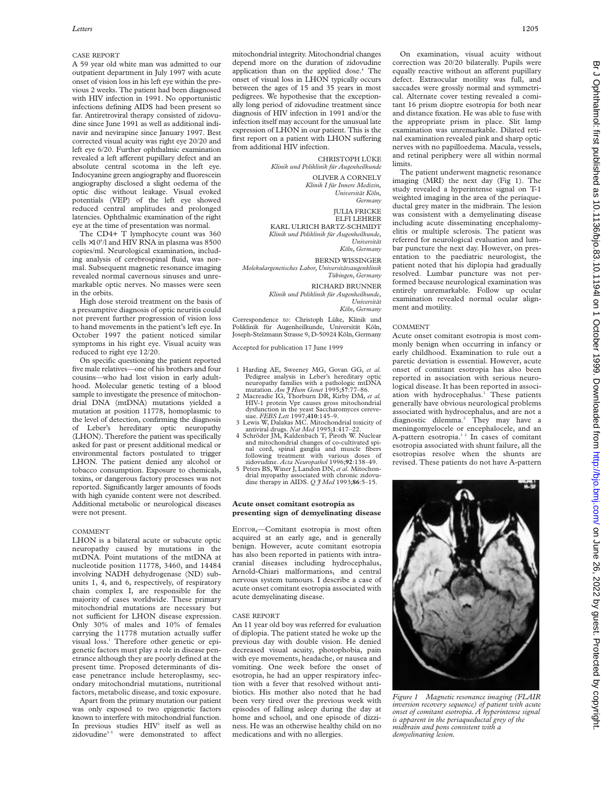# CASE REPORT

A 59 year old white man was admitted to our outpatient department in July 1997 with acute onset of vision loss in his left eye within the previous 2 weeks. The patient had been diagnosed with HIV infection in 1991. No opportunistic infections defining AIDS had been present so far. Antiretroviral therapy consisted of zidovudine since June 1991 as well as additional indinavir and nevirapine since January 1997. Best corrected visual acuity was right eye 20/20 and left eye 6/20. Further ophthalmic examination revealed a left afferent pupillary defect and an absolute central scotoma in the left eye. Indocyanine green angiography and fluorescein angiography disclosed a slight oedema of the optic disc without leakage. Visual evoked potentials (VEP) of the left eye showed reduced central amplitudes and prolonged latencies. Ophthalmic examination of the right eye at the time of presentation was normal.

The CD4+ T lymphocyte count was 360 cells  $\times 10^{6}/$ l and HIV RNA in plasma was 8500 copies/ml. Neurological examination, including analysis of cerebrospinal fluid, was normal. Subsequent magnetic resonance imaging revealed normal cavernous sinuses and unremarkable optic nerves. No masses were seen in the orbits.

High dose steroid treatment on the basis of a presumptive diagnosis of optic neuritis could not prevent further progression of vision loss to hand movements in the patient's left eye. In October 1997 the patient noticed similar symptoms in his right eye. Visual acuity was reduced to right eye 12/20.

On specific questioning the patient reported five male relatives—one of his brothers and four cousins—who had lost vision in early adulthood. Molecular genetic testing of a blood sample to investigate the presence of mitochondrial DNA (mtDNA) mutations yielded a mutation at position 11778, homoplasmic to the level of detection, confirming the diagnosis of Leber's hereditary optic neuropathy (LHON). Therefore the patient was specifically asked for past or present additional medical or environmental factors postulated to trigger LHON. The patient denied any alcohol or tobacco consumption. Exposure to chemicals, toxins, or dangerous factory processes was not reported. Significantly larger amounts of foods with high cyanide content were not described. Additional metabolic or neurological diseases were not present.

#### COMMENT

LHON is a bilateral acute or subacute optic neuropathy caused by mutations in the mtDNA. Point mutations of the mtDNA at nucleotide position 11778, 3460, and 14484 involving NADH dehydrogenase (ND) subunits 1, 4, and 6, respectively, of respiratory chain complex I, are responsible for the majority of cases worldwide. These primary mitochondrial mutations are necessary but not sufficient for LHON disease expression. Only 30% of males and 10% of females carrying the 11778 mutation actually suffer visual loss.<sup>1</sup> Therefore other genetic or epigenetic factors must play a role in disease penetrance although they are poorly defined at the present time. Proposed determinants of disease penetrance include heteroplasmy, secondary mitochondrial mutations, nutritional factors, metabolic disease, and toxic exposure.

Apart from the primary mutation our patient was only exposed to two epigenetic factors known to interfere with mitochondrial function. In previous studies  $HIV<sup>2</sup>$  itself as well as zidovudine<sup>3-5</sup> were demonstrated to affect mitochondrial integrity. Mitochondrial changes depend more on the duration of zidovudine application than on the applied dose.<sup>4</sup> The onset of visual loss in LHON typically occurs between the ages of 15 and 35 years in most pedigrees. We hypothesise that the exceptionally long period of zidovudine treatment since diagnosis of HIV infection in 1991 and/or the infection itself may account for the unusual late expression of LHON in our patient. This is the first report on a patient with LHON suffering from additional HIV infection.

CHRISTOPH LÜKE

*Klinik und Poliklinik für Augenheilkunde*

OLIVER A CORNELY *Klinik I für Innere Medizin, Universität Köln, Germany* JULIA FRICKE ELFI LEHRER KARL ULRICH BARTZ-SCHMIDT *Klinik und Poliklinik für Augenheilkunde, Universität Köln, Germany* BERND WISSINGER *Molekulargenetisches Labor, Universitätsaugenklinik Tübingen, Germany* RICHARD BRUNNER *Klinik und Poliklinik für Augenheilkunde, Universität Köln, Germany* Correspondence to: Christoph Lüke, Klinik und

Poliklinik für Augenheilkunde, Universität Köln, Joseph-Stelzmann Strasse 9, D-50924 Köln, Germany

Accepted for publication 17 June 1999

- 1 Harding AE, Sweeney MG, Govan GG, *et al.* Pedigree analysis in Leber's hereditary optic neuropathy families with a pathologic mtDNA mutation. *Am J Hum Genet* 1995;**57**:77–86.
- 2 Macreadie IG, Thorburn DR, Kirby DM, *et al.* HIV-1 protein Vpr causes gross mitochondrial dysfunction in the yeast Saccharomyces cereve-siae. *FEBS Lett* 1997;**410**:145–9. 3 Lewis W, Dalakas MC. Mitochondrial toxicity of
- antiviral drugs. *Nat Med* 1995;**1**:417–22. 4 Schröder JM, Kaldenbach T, Piroth W. Nuclear
- and mitochondrial changes of co-cultivated spinal cord, spinal ganglia and muscle fibers following treatment with various doses of zidovudine. *Acta Neuropathol* 1996;**92**:138–49.
- 5 Peters BS, Winer J, Landon DN,*et al.* Mitochondrial myopathy associated with chronic zidovudine therapy in AIDS. *Q J Med* 1993;**86**:5–15.

# **Acute onset comitant esotropia as presenting sign of demyelinating disease**

EDITOR,—Comitant esotropia is most often acquired at an early age, and is generally benign. However, acute comitant esotropia has also been reported in patients with intracranial diseases including hydrocephalus, Arnold-Chiari malformations, and central nervous system tumours. I describe a case of acute onset comitant esotropia associated with acute demyelinating disease.

#### CASE REPORT

An 11 year old boy was referred for evaluation of diplopia. The patient stated he woke up the previous day with double vision. He denied decreased visual acuity, photophobia, pain with eye movements, headache, or nausea and vomiting. One week before the onset of esotropia, he had an upper respiratory infection with a fever that resolved without antibiotics. His mother also noted that he had been very tired over the previous week with episodes of falling asleep during the day at home and school, and one episode of dizziness. He was an otherwise healthy child on no medications and with no allergies.

On examination, visual acuity without correction was 20/20 bilaterally. Pupils were equally reactive without an afferent pupillary defect. Extraocular motility was full, and saccades were grossly normal and symmetrical. Alternate cover testing revealed a comitant 16 prism dioptre esotropia for both near and distance fixation. He was able to fuse with the appropriate prism in place. Slit lamp examination was unremarkable. Dilated retinal examination revealed pink and sharp optic nerves with no papilloedema. Macula, vessels, and retinal periphery were all within normal limits.

The patient underwent magnetic resonance imaging (MRI) the next day (Fig 1). The study revealed a hyperintense signal on T-1 weighted imaging in the area of the periaqueductal grey mater in the midbrain. The lesion was consistent with a demyelinating disease including acute disseminating encephalomyelitis or multiple sclerosis. The patient was referred for neurological evaluation and lumbar puncture the next day. However, on presentation to the paediatric neurologist, the patient noted that his diplopia had gradually resolved. Lumbar puncture was not performed because neurological examination was entirely unremarkable. Follow up ocular examination revealed normal ocular alignment and motility.

#### COMMENT

Acute onset comitant esotropia is most commonly benign when occurring in infancy or early childhood. Examination to rule out a paretic deviation is essential. However, acute onset of comitant esotropia has also been reported in association with serious neurological disease. It has been reported in association with hydrocephalus.<sup>1</sup> These patients generally have obvious neurological problems associated with hydrocephalus, and are not a diagnostic dilemma.2 They may have a meningomyelocele or encephalocele, and an A-pattern esotropia.<sup>12</sup> In cases of comitant esotropia associated with shunt failure, all the esotropias resolve when the shunts are revised. These patients do not have A-pattern



*Figure 1 Magnetic resonance imaging (FLAIR inversion recovery sequence) of patient with acute onset of comitant esotropia. A hyperintense signal is apparent in the periaqueductal grey of the midbrain and pons consistent with a demyelinating lesion.*